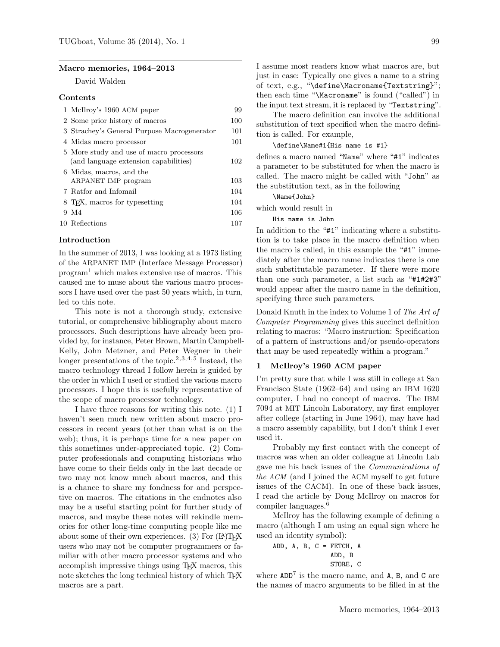#### Macro memories, 1964–2013

David Walden

## Contents

| 1 McIlroy's 1960 ACM paper                                                        | 99  |
|-----------------------------------------------------------------------------------|-----|
| 2 Some prior history of macros                                                    | 100 |
| 3 Strachey's General Purpose Macrogenerator                                       | 101 |
| 4 Midas macro processor                                                           | 101 |
| 5 More study and use of macro processors<br>(and language extension capabilities) | 102 |
| 6 Midas, macros, and the<br>ARPANET IMP program                                   | 103 |
| 7 Ratfor and Infomail                                                             | 104 |
| 8 T <sub>F</sub> X, macros for typesetting                                        | 104 |
| 9 M4                                                                              | 106 |
| 10 Reflections                                                                    | 107 |
|                                                                                   |     |

## Introduction

In the summer of 2013, I was looking at a 1973 listing of the ARPANET IMP (Interface Message Processor)  $program<sup>1</sup>$  which makes extensive use of macros. This caused me to muse about the various macro processors I have used over the past 50 years which, in turn, led to this note.

This note is not a thorough study, extensive tutorial, or comprehensive bibliography about macro processors. Such descriptions have already been provided by, for instance, Peter Brown, Martin Campbell-Kelly, John Metzner, and Peter Wegner in their longer presentations of the topic.<sup>2,3,4,5</sup> Instead, the macro technology thread I follow herein is guided by the order in which I used or studied the various macro processors. I hope this is usefully representative of the scope of macro processor technology.

I have three reasons for writing this note. (1) I haven't seen much new written about macro processors in recent years (other than what is on the web); thus, it is perhaps time for a new paper on this sometimes under-appreciated topic. (2) Computer professionals and computing historians who have come to their fields only in the last decade or two may not know much about macros, and this is a chance to share my fondness for and perspective on macros. The citations in the endnotes also may be a useful starting point for further study of macros, and maybe these notes will rekindle memories for other long-time computing people like me about some of their own experiences. (3) For  $(L)$  TFX users who may not be computer programmers or familiar with other macro processor systems and who accomplish impressive things using TEX macros, this note sketches the long technical history of which T<sub>E</sub>X macros are a part.

I assume most readers know what macros are, but just in case: Typically one gives a name to a string of text, e.g., "\define\Macroname{Textstring}"; then each time "\Macroname" is found ("called") in the input text stream, it is replaced by "Textstring".

The macro definition can involve the additional substitution of text specified when the macro definition is called. For example,

# \define\Name#1{His name is #1}

defines a macro named "Name" where "#1" indicates a parameter to be substituted for when the macro is called. The macro might be called with "John" as the substitution text, as in the following

\Name{John}

which would result in

His name is John

In addition to the "#1" indicating where a substitution is to take place in the macro definition when the macro is called, in this example the "#1" immediately after the macro name indicates there is one such substitutable parameter. If there were more than one such parameter, a list such as "#1#2#3" would appear after the macro name in the definition, specifying three such parameters.

Donald Knuth in the index to Volume 1 of The Art of Computer Programming gives this succinct definition relating to macros: "Macro instruction: Specification of a pattern of instructions and/or pseudo-operators that may be used repeatedly within a program."

#### 1 McIlroy's 1960 ACM paper

I'm pretty sure that while I was still in college at San Francisco State (1962–64) and using an IBM 1620 computer, I had no concept of macros. The IBM 7094 at MIT Lincoln Laboratory, my first employer after college (starting in June 1964), may have had a macro assembly capability, but I don't think I ever used it.

Probably my first contact with the concept of macros was when an older colleague at Lincoln Lab gave me his back issues of the Communications of the ACM (and I joined the ACM myself to get future issues of the CACM). In one of these back issues, I read the article by Doug McIlroy on macros for compiler languages.<sup>6</sup>

McIlroy has the following example of defining a macro (although I am using an equal sign where he used an identity symbol):

 $ADD, A, B, C = FETCH, A$ ADD, B STORE, C

where  $ADD^7$  is the macro name, and  $A$ ,  $B$ , and  $C$  are the names of macro arguments to be filled in at the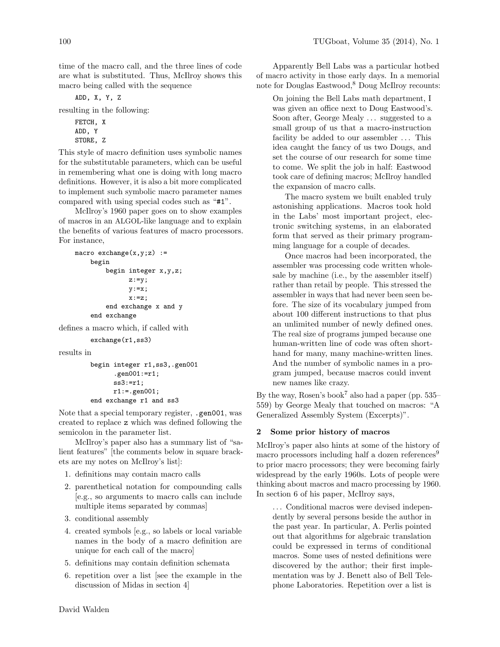time of the macro call, and the three lines of code are what is substituted. Thus, McIlroy shows this macro being called with the sequence

ADD, X, Y, Z

resulting in the following:

```
FETCH, X
ADD, Y
STORE, Z
```
This style of macro definition uses symbolic names for the substitutable parameters, which can be useful in remembering what one is doing with long macro definitions. However, it is also a bit more complicated to implement such symbolic macro parameter names compared with using special codes such as "#1".

McIlroy's 1960 paper goes on to show examples of macros in an ALGOL-like language and to explain the benefits of various features of macro processors. For instance,

```
macro exchange(x,y;z) :=
    begin
        begin integer x,y,z;
               z:=y;y := x;x := z:
        end exchange x and y
    end exchange
```
defines a macro which, if called with

```
exchange(r1,ss3)
```
results in

```
begin integer r1,ss3,.gen001
      .gen001:=r1;
      ss3:=r1;
      r1:=.gen001;
end exchange r1 and ss3
```
Note that a special temporary register, .gen001, was created to replace z which was defined following the semicolon in the parameter list.

McIlroy's paper also has a summary list of "salient features" [the comments below in square brackets are my notes on McIlroy's list]:

- 1. definitions may contain macro calls
- 2. parenthetical notation for compounding calls [e.g., so arguments to macro calls can include multiple items separated by commas]
- 3. conditional assembly
- 4. created symbols [e.g., so labels or local variable names in the body of a macro definition are unique for each call of the macro]
- 5. definitions may contain definition schemata
- 6. repetition over a list [see the example in the discussion of Midas in section 4]

Apparently Bell Labs was a particular hotbed of macro activity in those early days. In a memorial note for Douglas Eastwood, $8$  Doug McIlroy recounts:

On joining the Bell Labs math department, I was given an office next to Doug Eastwood's. Soon after, George Mealy ... suggested to a small group of us that a macro-instruction facility be added to our assembler  $\dots$  This idea caught the fancy of us two Dougs, and set the course of our research for some time to come. We split the job in half: Eastwood took care of defining macros; McIlroy handled the expansion of macro calls.

The macro system we built enabled truly astonishing applications. Macros took hold in the Labs' most important project, electronic switching systems, in an elaborated form that served as their primary programming language for a couple of decades.

Once macros had been incorporated, the assembler was processing code written wholesale by machine (i.e., by the assembler itself) rather than retail by people. This stressed the assembler in ways that had never been seen before. The size of its vocabulary jumped from about 100 different instructions to that plus an unlimited number of newly defined ones. The real size of programs jumped because one human-written line of code was often shorthand for many, many machine-written lines. And the number of symbolic names in a program jumped, because macros could invent new names like crazy.

By the way, Rosen's book<sup>7</sup> also had a paper (pp.  $535-$ 559) by George Mealy that touched on macros: "A Generalized Assembly System (Excerpts)".

#### 2 Some prior history of macros

McIlroy's paper also hints at some of the history of macro processors including half a dozen references<sup>9</sup> to prior macro processors; they were becoming fairly widespread by the early 1960s. Lots of people were thinking about macros and macro processing by 1960. In section 6 of his paper, McIlroy says,

... Conditional macros were devised independently by several persons beside the author in the past year. In particular, A. Perlis pointed out that algorithms for algebraic translation could be expressed in terms of conditional macros. Some uses of nested definitions were discovered by the author; their first implementation was by J. Benett also of Bell Telephone Laboratories. Repetition over a list is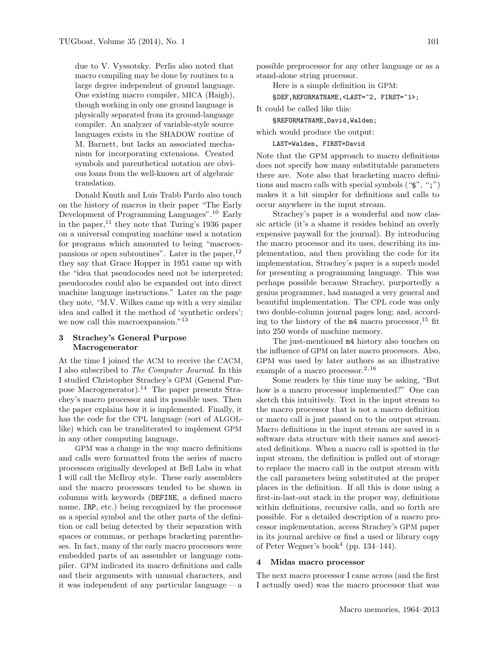due to V. Vyssotsky. Perlis also noted that macro compiling may be done by routines to a large degree independent of ground language. One existing macro compiler, MICA (Haigh), though working in only one ground language is physically separated from its ground-language compiler. An analyzer of variable-style source languages exists in the SHADOW routine of M. Barnett, but lacks an associated mechanism for incorporating extensions. Created symbols and parenthetical notation are obvious loans from the well-known art of algebraic translation.

Donald Knuth and Luis Trabb Pardo also touch on the history of macros in their paper "The Early Development of Programming Languages".<sup>10</sup> Early in the paper, $^{11}$  they note that Turing's 1936 paper on a universal computing machine used a notation for programs which amounted to being "macroexpansions or open subroutines". Later in the paper,  $^{12}$ they say that Grace Hopper in 1951 came up with the "idea that pseudocodes need not be interpreted; pseudocodes could also be expanded out into direct machine language instructions." Later on the page they note, "M.V. Wilkes came up with a very similar idea and called it the method of 'synthetic orders'; we now call this macroexpansion."<sup>13</sup>

## 3 Strachey's General Purpose Macrogenerator

At the time I joined the ACM to receive the CACM, I also subscribed to The Computer Journal. In this I studied Christopher Strachey's GPM (General Purpose Macrogenerator).<sup>14</sup> The paper presents Strachey's macro processor and its possible uses. Then the paper explains how it is implemented. Finally, it has the code for the CPL language (sort of ALGOLlike) which can be transliterated to implement GPM in any other computing language.

GPM was a change in the way macro definitions and calls were formatted from the series of macro processors originally developed at Bell Labs in what I will call the McIlroy style. These early assemblers and the macro processors tended to be shown in columns with keywords (DEFINE, a defined macro name, IRP, etc.) being recognized by the processor as a special symbol and the other parts of the definition or call being detected by their separation with spaces or commas, or perhaps bracketing parentheses. In fact, many of the early macro processors were embedded parts of an assembler or language compiler. GPM indicated its macro definitions and calls and their arguments with unusual characters, and it was independent of any particular language— a

possible preprocessor for any other language or as a stand-alone string processor.

Here is a simple definition in GPM:

§DEF,REFORMATNAME,<LAST=~2, FIRST=~1>;

It could be called like this:

§REFORMATNAME,David,Walden;

which would produce the output:

## LAST=Walden, FIRST=David

Note that the GPM approach to macro definitions does not specify how many substitutable parameters there are. Note also that bracketing macro definitions and macro calls with special symbols ("§", ";") makes it a bit simpler for definitions and calls to occur anywhere in the input stream.

Strachey's paper is a wonderful and now classic article (it's a shame it resides behind an overly expensive paywall for the journal). By introducing the macro processor and its uses, describing its implementation, and then providing the code for its implementation, Strachey's paper is a superb model for presenting a programming language. This was perhaps possible because Strachey, purportedly a genius programmer, had managed a very general and beautiful implementation. The CPL code was only two double-column journal pages long; and, according to the history of the  $m4$  macro processor,<sup>15</sup> fit into 250 words of machine memory.

The just-mentioned m4 history also touches on the influence of GPM on later macro processors. Also, GPM was used by later authors as an illustrative example of a macro processor.<sup>2,16</sup>

Some readers by this time may be asking, "But how is a macro processor implemented?" One can sketch this intuitively. Text in the input stream to the macro processor that is not a macro definition or macro call is just passed on to the output stream. Macro definitions in the input stream are saved in a software data structure with their names and associated definitions. When a macro call is spotted in the input stream, the definition is pulled out of storage to replace the macro call in the output stream with the call parameters being substituted at the proper places in the definition. If all this is done using a first-in-last-out stack in the proper way, definitions within definitions, recursive calls, and so forth are possible. For a detailed description of a macro processor implementation, access Strachey's GPM paper in its journal archive or find a used or library copy of Peter Wegner's book<sup>4</sup> (pp. 134–144).

### 4 Midas macro processor

The next macro processor I came across (and the first I actually used) was the macro processor that was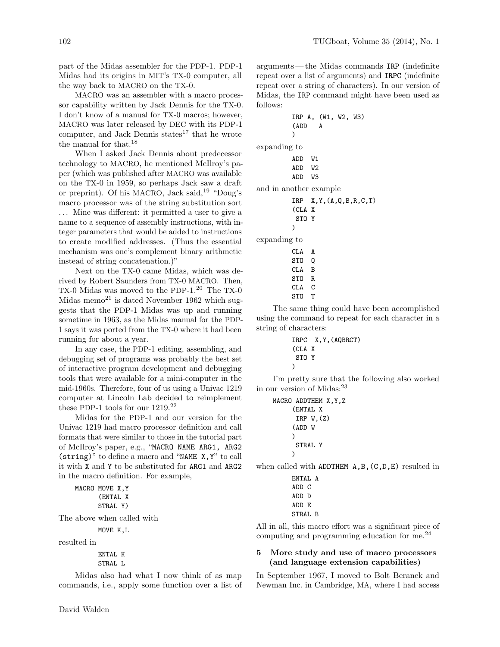part of the Midas assembler for the PDP-1. PDP-1 Midas had its origins in MIT's TX-0 computer, all the way back to MACRO on the TX-0.

MACRO was an assembler with a macro processor capability written by Jack Dennis for the TX-0. I don't know of a manual for TX-0 macros; however, MACRO was later released by DEC with its PDP-1 computer, and Jack Dennis states<sup>17</sup> that he wrote the manual for that.<sup>18</sup>

When I asked Jack Dennis about predecessor technology to MACRO, he mentioned McIlroy's paper (which was published after MACRO was available on the TX-0 in 1959, so perhaps Jack saw a draft or preprint). Of his MACRO, Jack said,<sup>19</sup> "Doug's macro processor was of the string substitution sort . . . Mine was different: it permitted a user to give a name to a sequence of assembly instructions, with integer parameters that would be added to instructions to create modified addresses. (Thus the essential mechanism was one's complement binary arithmetic instead of string concatenation.)"

Next on the TX-0 came Midas, which was derived by Robert Saunders from TX-0 MACRO. Then, TX-0 Midas was moved to the PDP-1. $^{20}\,$  The TX-0 Midas memo<sup>21</sup> is dated November 1962 which suggests that the PDP-1 Midas was up and running sometime in 1963, as the Midas manual for the PDP-1 says it was ported from the TX-0 where it had been running for about a year.

In any case, the PDP-1 editing, assembling, and debugging set of programs was probably the best set of interactive program development and debugging tools that were available for a mini-computer in the mid-1960s. Therefore, four of us using a Univac 1219 computer at Lincoln Lab decided to reimplement these PDP-1 tools for our  $1219.^{22}$ 

Midas for the PDP-1 and our version for the Univac 1219 had macro processor definition and call formats that were similar to those in the tutorial part of McIlroy's paper, e.g., "MACRO NAME ARG1, ARG2 (string)" to define a macro and "NAME X,Y" to call it with X and Y to be substituted for ARG1 and ARG2 in the macro definition. For example,

```
MACRO MOVE X,Y
      (ENTAL X
      STRAL Y)
```
The above when called with

```
MOVE K,L
```
resulted in

ENTAL K STRAL L

Midas also had what I now think of as map commands, i.e., apply some function over a list of arguments— the Midas commands IRP (indefinite repeat over a list of arguments) and IRPC (indefinite repeat over a string of characters). In our version of Midas, the IRP command might have been used as follows:

$$
\begin{array}{cccc}\n\text{IRP A, (W1, W2, W3)}\\
\text{(ADD} & A\\
\text{)}\\
\text{expanding to} \\
\text{ADD} & \text{W1}\n\end{array}
$$

ADD W2 ADD W3

and in another example

IRP X,Y,(A,Q,B,R,C,T) (CLA X STO Y )

expanding to

| CT.A | A  |
|------|----|
| STO  | O  |
| CT.A | В  |
| sтn  | R. |
| CT.A | C  |
| sтn  | т  |

The same thing could have been accomplished using the command to repeat for each character in a string of characters:

```
IRPC X,Y,(AQBRCT)
(CLA X
STO Y
)
```
I'm pretty sure that the following also worked in our version of Midas:<sup>23</sup>

```
MACRO ADDTHEM X,Y,Z
      (ENTAL X
       IRP W, (Z)(ADD W
      \mathcal{L}STRAL Y
      )
```
when called with ADDTHEM  $A, B, (C, D, E)$  resulted in

| FNTAL A |  |  |
|---------|--|--|
| ADD C   |  |  |
| ת ממ4   |  |  |
| ADD E   |  |  |
| STRAL B |  |  |

All in all, this macro effort was a significant piece of computing and programming education for me.<sup>24</sup>

# 5 More study and use of macro processors (and language extension capabilities)

In September 1967, I moved to Bolt Beranek and Newman Inc. in Cambridge, MA, where I had access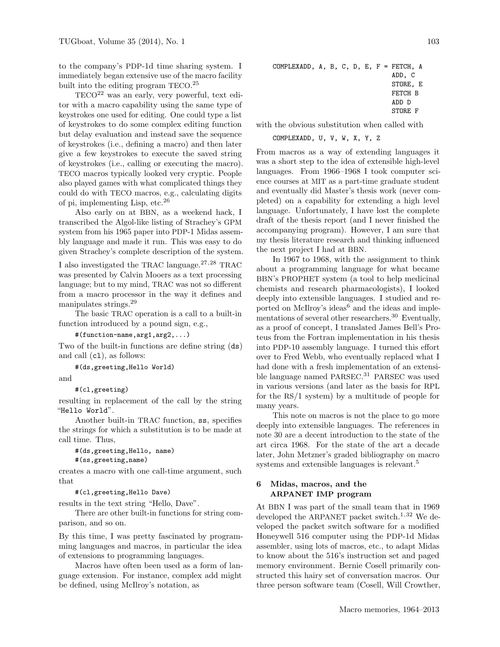to the company's PDP-1d time sharing system. I immediately began extensive use of the macro facility built into the editing program TECO.<sup>25</sup>

 $TECO<sup>22</sup>$  was an early, very powerful, text editor with a macro capability using the same type of keystrokes one used for editing. One could type a list of keystrokes to do some complex editing function but delay evaluation and instead save the sequence of keystrokes (i.e., defining a macro) and then later give a few keystrokes to execute the saved string of keystrokes (i.e., calling or executing the macro). TECO macros typically looked very cryptic. People also played games with what complicated things they could do with TECO macros, e.g., calculating digits of pi, implementing Lisp, etc.<sup>26</sup>

Also early on at BBN, as a weekend hack, I transcribed the Algol-like listing of Strachey's GPM system from his 1965 paper into PDP-1 Midas assembly language and made it run. This was easy to do given Strachey's complete description of the system.

I also investigated the TRAC language. $27,28$  TRAC was presented by Calvin Mooers as a text processing language; but to my mind, TRAC was not so different from a macro processor in the way it defines and manipulates strings.<sup>29</sup>

The basic TRAC operation is a call to a built-in function introduced by a pound sign, e.g.,

#(function-name,arg1,arg2,...)

Two of the built-in functions are define string (ds) and call (cl), as follows:

#(ds,greeting,Hello World)

and

```
#(cl,greeting)
```
resulting in replacement of the call by the string "Hello World".

Another built-in TRAC function, ss, specifies the strings for which a substitution is to be made at call time. Thus,

#(ds,greeting,Hello, name) #(ss,greeting,name)

creates a macro with one call-time argument, such that

#(cl,greeting,Hello Dave)

results in the text string "Hello, Dave".

There are other built-in functions for string comparison, and so on.

By this time, I was pretty fascinated by programming languages and macros, in particular the idea of extensions to programming languages.

Macros have often been used as a form of language extension. For instance, complex add might be defined, using McIlroy's notation, as

| COMPLEXADD, $A$ , $B$ , $C$ , $D$ , $E$ , $F$ = FETCH, $A$ |  |  |  |          |
|------------------------------------------------------------|--|--|--|----------|
|                                                            |  |  |  | ADD, C   |
|                                                            |  |  |  | STORE, E |
|                                                            |  |  |  | FETCH B  |
|                                                            |  |  |  | ת ממ4    |
|                                                            |  |  |  | STORE F  |

with the obvious substitution when called with

#### COMPLEXADD, U, V, W, X, Y, Z

From macros as a way of extending languages it was a short step to the idea of extensible high-level languages. From 1966–1968 I took computer science courses at MIT as a part-time graduate student and eventually did Master's thesis work (never completed) on a capability for extending a high level language. Unfortunately, I have lost the complete draft of the thesis report (and I never finished the accompanying program). However, I am sure that my thesis literature research and thinking influenced the next project I had at BBN.

In 1967 to 1968, with the assignment to think about a programming language for what became BBN's PROPHET system (a tool to help medicinal chemists and research pharmacologists), I looked deeply into extensible languages. I studied and reported on McIlroy's ideas<sup>6</sup> and the ideas and implementations of several other researchers.<sup>30</sup> Eventually, as a proof of concept, I translated James Bell's Proteus from the Fortran implementation in his thesis into PDP-10 assembly language. I turned this effort over to Fred Webb, who eventually replaced what I had done with a fresh implementation of an extensible language named PARSEC.<sup>31</sup> PARSEC was used in various versions (and later as the basis for RPL for the RS/1 system) by a multitude of people for many years.

This note on macros is not the place to go more deeply into extensible languages. The references in note 30 are a decent introduction to the state of the art circa 1968. For the state of the art a decade later, John Metzner's graded bibliography on macro systems and extensible languages is relevant.<sup>5</sup>

### 6 Midas, macros, and the ARPANET IMP program

At BBN I was part of the small team that in 1969 developed the ARPANET packet switch.<sup>1,32</sup> We developed the packet switch software for a modified Honeywell 516 computer using the PDP-1d Midas assembler, using lots of macros, etc., to adapt Midas to know about the 516's instruction set and paged memory environment. Bernie Cosell primarily constructed this hairy set of conversation macros. Our three person software team (Cosell, Will Crowther,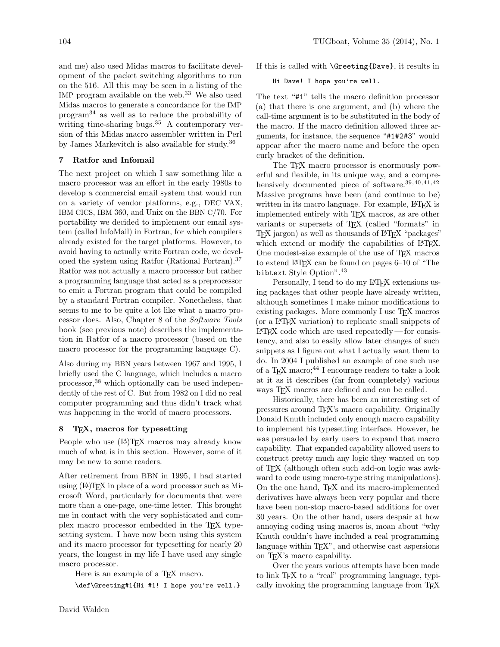and me) also used Midas macros to facilitate development of the packet switching algorithms to run on the 516. All this may be seen in a listing of the IMP program available on the web.<sup>33</sup> We also used Midas macros to generate a concordance for the IMP program<sup>34</sup> as well as to reduce the probability of writing time-sharing bugs.<sup>35</sup> A contemporary version of this Midas macro assembler written in Perl by James Markevitch is also available for study.<sup>36</sup>

## 7 Ratfor and Infomail

The next project on which I saw something like a macro processor was an effort in the early 1980s to develop a commercial email system that would run on a variety of vendor platforms, e.g., DEC VAX, IBM CICS, IBM 360, and Unix on the BBN C/70. For portability we decided to implement our email system (called InfoMail) in Fortran, for which compilers already existed for the target platforms. However, to avoid having to actually write Fortran code, we developed the system using Ratfor (Rational Fortran).<sup>37</sup> Ratfor was not actually a macro processor but rather a programming language that acted as a preprocessor to emit a Fortran program that could be compiled by a standard Fortran compiler. Nonetheless, that seems to me to be quite a lot like what a macro processor does. Also, Chapter 8 of the Software Tools book (see previous note) describes the implementation in Ratfor of a macro processor (based on the macro processor for the programming language C).

Also during my BBN years between 1967 and 1995, I briefly used the C language, which includes a macro processor,<sup>38</sup> which optionally can be used independently of the rest of C. But from 1982 on I did no real computer programming and thus didn't track what was happening in the world of macro processors.

#### 8 TEX, macros for typesetting

People who use (LA)T<sub>F</sub>X macros may already know much of what is in this section. However, some of it may be new to some readers.

After retirement from BBN in 1995, I had started using  $(E)$ T<sub>F</sub>X in place of a word processor such as Microsoft Word, particularly for documents that were more than a one-page, one-time letter. This brought me in contact with the very sophisticated and complex macro processor embedded in the TEX typesetting system. I have now been using this system and its macro processor for typesetting for nearly 20 years, the longest in my life I have used any single macro processor.

Here is an example of a T<sub>E</sub>X macro.

\def\Greeting#1{Hi #1! I hope you're well.}

If this is called with \Greeting{Dave}, it results in

#### Hi Dave! I hope you're well.

The text "#1" tells the macro definition processor (a) that there is one argument, and (b) where the call-time argument is to be substituted in the body of the macro. If the macro definition allowed three arguments, for instance, the sequence "#1#2#3" would appear after the macro name and before the open curly bracket of the definition.

The T<sub>E</sub>X macro processor is enormously powerful and flexible, in its unique way, and a comprehensively documented piece of software.<sup>39,40,41,42</sup> Massive programs have been (and continue to be) written in its macro language. For example, LAT<sub>EX</sub> is implemented entirely with TEX macros, as are other variants or supersets of TEX (called "formats" in TEX jargon) as well as thousands of LATEX "packages" which extend or modify the capabilities of LAT<sub>EX</sub>. One modest-size example of the use of TFX macros to extend LATEX can be found on pages 6–10 of "The bibtext Style Option".<sup>43</sup>

Personally, I tend to do my IATFX extensions using packages that other people have already written, although sometimes I make minor modifications to existing packages. More commonly I use T<sub>F</sub>X macros (or a LATEX variation) to replicate small snippets of  $LAT$ <sub>F</sub>X code which are used repeatedly—for consistency, and also to easily allow later changes of such snippets as I figure out what I actually want them to do. In 2004 I published an example of one such use of a T<sub>EX</sub> macro;<sup>44</sup> I encourage readers to take a look at it as it describes (far from completely) various ways T<sub>F</sub>X macros are defined and can be called.

Historically, there has been an interesting set of pressures around TEX's macro capability. Originally Donald Knuth included only enough macro capability to implement his typesetting interface. However, he was persuaded by early users to expand that macro capability. That expanded capability allowed users to construct pretty much any logic they wanted on top of TEX (although often such add-on logic was awkward to code using macro-type string manipulations). On the one hand, TEX and its macro-implemented derivatives have always been very popular and there have been non-stop macro-based additions for over 30 years. On the other hand, users despair at how annoying coding using macros is, moan about "why Knuth couldn't have included a real programming language within TEX", and otherwise cast aspersions on TEX's macro capability.

Over the years various attempts have been made to link TEX to a "real" programming language, typically invoking the programming language from TFX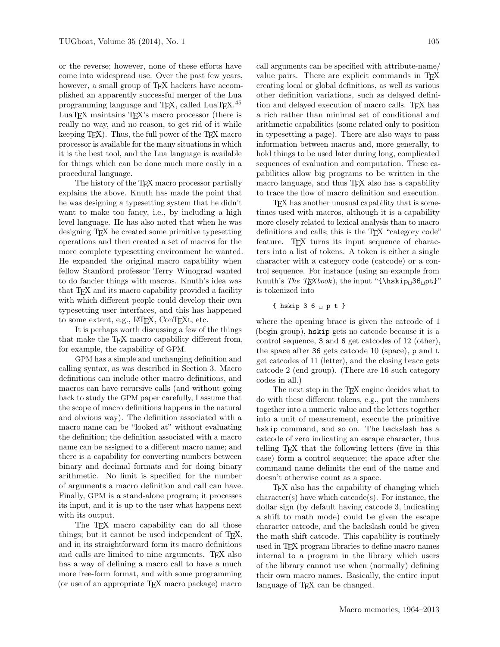or the reverse; however, none of these efforts have come into widespread use. Over the past few years, however, a small group of T<sub>E</sub>X hackers have accomplished an apparently successful merger of the Lua programming language and T<sub>E</sub>X, called LuaT<sub>E</sub>X.<sup>45</sup> LuaTEX maintains TEX's macro processor (there is really no way, and no reason, to get rid of it while keeping TEX). Thus, the full power of the TEX macro processor is available for the many situations in which it is the best tool, and the Lua language is available for things which can be done much more easily in a procedural language.

The history of the T<sub>E</sub>X macro processor partially explains the above. Knuth has made the point that he was designing a typesetting system that he didn't want to make too fancy, i.e., by including a high level language. He has also noted that when he was designing TEX he created some primitive typesetting operations and then created a set of macros for the more complete typesetting environment he wanted. He expanded the original macro capability when fellow Stanford professor Terry Winograd wanted to do fancier things with macros. Knuth's idea was that T<sub>EX</sub> and its macro capability provided a facility with which different people could develop their own typesetting user interfaces, and this has happened to some extent, e.g., LAT<sub>EX</sub>, ConT<sub>EX</sub>t, etc.

It is perhaps worth discussing a few of the things that make the TEX macro capability different from, for example, the capability of GPM.

GPM has a simple and unchanging definition and calling syntax, as was described in Section 3. Macro definitions can include other macro definitions, and macros can have recursive calls (and without going back to study the GPM paper carefully, I assume that the scope of macro definitions happens in the natural and obvious way). The definition associated with a macro name can be "looked at" without evaluating the definition; the definition associated with a macro name can be assigned to a different macro name; and there is a capability for converting numbers between binary and decimal formats and for doing binary arithmetic. No limit is specified for the number of arguments a macro definition and call can have. Finally, GPM is a stand-alone program; it processes its input, and it is up to the user what happens next with its output.

The T<sub>E</sub>X macro capability can do all those things; but it cannot be used independent of TEX, and in its straightforward form its macro definitions and calls are limited to nine arguments. T<sub>F</sub>X also has a way of defining a macro call to have a much more free-form format, and with some programming (or use of an appropriate TEX macro package) macro

call arguments can be specified with attribute-name/ value pairs. There are explicit commands in TEX creating local or global definitions, as well as various other definition variations, such as delayed definition and delayed execution of macro calls. TEX has a rich rather than minimal set of conditional and arithmetic capabilities (some related only to position in typesetting a page). There are also ways to pass information between macros and, more generally, to hold things to be used later during long, complicated sequences of evaluation and computation. These capabilities allow big programs to be written in the macro language, and thus T<sub>EX</sub> also has a capability to trace the flow of macro definition and execution.

TEX has another unusual capability that is sometimes used with macros, although it is a capability more closely related to lexical analysis than to macro definitions and calls; this is the TEX "category code" feature. T<sub>EX</sub> turns its input sequence of characters into a list of tokens. A token is either a single character with a category code (catcode) or a control sequence. For instance (using an example from Knuth's The TEXbook), the input "{\hskip 36 pt}" is tokenized into

# $\{$  hskip 3 6  $\text{p } t$  }

where the opening brace is given the catcode of 1 (begin group), hskip gets no catcode because it is a control sequence, 3 and 6 get catcodes of 12 (other), the space after 36 gets catcode 10 (space), p and t get catcodes of 11 (letter), and the closing brace gets catcode 2 (end group). (There are 16 such category codes in all.)

The next step in the T<sub>E</sub>X engine decides what to do with these different tokens, e.g., put the numbers together into a numeric value and the letters together into a unit of measurement, execute the primitive hskip command, and so on. The backslash has a catcode of zero indicating an escape character, thus telling TEX that the following letters (five in this case) form a control sequence; the space after the command name delimits the end of the name and doesn't otherwise count as a space.

TEX also has the capability of changing which character(s) have which catcode(s). For instance, the dollar sign (by default having catcode 3, indicating a shift to math mode) could be given the escape character catcode, and the backslash could be given the math shift catcode. This capability is routinely used in TEX program libraries to define macro names internal to a program in the library which users of the library cannot use when (normally) defining their own macro names. Basically, the entire input language of T<sub>F</sub>X can be changed.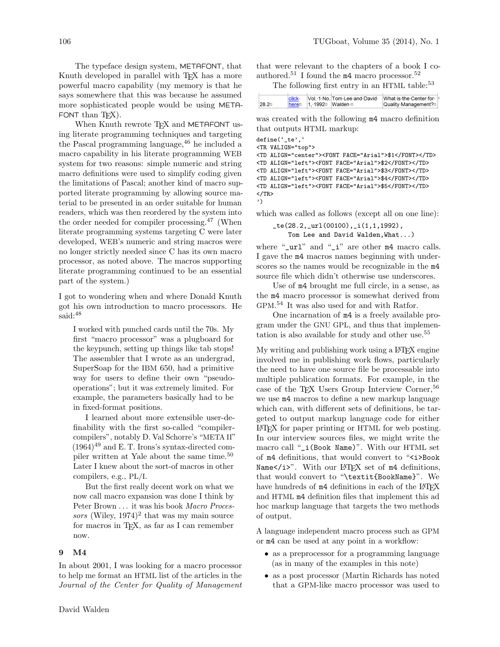The typeface design system, METAFONT, that Knuth developed in parallel with T<sub>EX</sub> has a more powerful macro capability (my memory is that he says somewhere that this was because he assumed more sophisticated people would be using META-FONT than  $Tr(X)$ .

When Knuth rewrote T<sub>F</sub>X and METAFONT using literate programming techniques and targeting the Pascal programming language,<sup>46</sup> he included a macro capability in his literate programming WEB system for two reasons: simple numeric and string macro definitions were used to simplify coding given the limitations of Pascal; another kind of macro supported literate programming by allowing source material to be presented in an order suitable for human readers, which was then reordered by the system into the order needed for compiler processing.<sup>47</sup> (When literate programming systems targeting C were later developed, WEB's numeric and string macros were no longer strictly needed since C has its own macro processor, as noted above. The macros supporting literate programming continued to be an essential part of the system.)

I got to wondering when and where Donald Knuth got his own introduction to macro processors. He said:<sup>48</sup>

I worked with punched cards until the 70s. My first "macro processor" was a plugboard for the keypunch, setting up things like tab stops! The assembler that I wrote as an undergrad, SuperSoap for the IBM 650, had a primitive way for users to define their own "pseudooperations"; but it was extremely limited. For example, the parameters basically had to be in fixed-format positions.

I learned about more extensible user-definability with the first so-called "compilercompilers", notably D. Val Schorre's "META II"  $(1964)^{49}$  and E.T. Irons's syntax-directed compiler written at Yale about the same time.<sup>50</sup> Later I knew about the sort-of macros in other compilers, e.g., PL/I.

But the first really decent work on what we now call macro expansion was done I think by Peter Brown ... it was his book Macro Processors (Wiley,  $1974$ )<sup>2</sup> that was my main source for macros in T<sub>E</sub>X, as far as I can remember now.

## 9 M4

In about 2001, I was looking for a macro processor to help me format an HTML list of the articles in the Journal of the Center for Quality of Management that were relevant to the chapters of a book I coauthored.<sup>51</sup> I found the  $m4$  macro processor.<sup>52</sup>

The following first entry in an HTML table:<sup>53</sup>

|              | <b>click</b> | Vol. 1 No. Tom Lee and David | What is the Center for $\kappa$ |
|--------------|--------------|------------------------------|---------------------------------|
| $28.2^\circ$ |              | here¤  1, 1992¤ Walden ¤     | Quality Management?¤            |
|              |              |                              |                                 |

was created with the following m4 macro definition that outputs HTML markup:

```
define('_te','
<TR VALIGN="top">
<TD ALIGN="center"><FONT FACE="Arial">$1</FONT></TD>
<TD ALIGN="left"><FONT FACE="Arial">$2</FONT></TD>
<TD ALIGN="left"><FONT FACE="Arial">$3</FONT></TD>
<TD ALIGN="left"><FONT FACE="Arial">$4</FONT></TD>
<TD ALIGN="left"><FONT FACE="Arial">$5</FONT></TD>
</TR>')
```
which was called as follows (except all on one line):

```
_te(28.2,_url(00100),_i(1,1,1992),
   Tom Lee and David Walden,What...)
```
where "\_url" and "\_i" are other  $m4$  macro calls. I gave the m4 macros names beginning with underscores so the names would be recognizable in the m4 source file which didn't otherwise use underscores.

Use of m4 brought me full circle, in a sense, as the m4 macro processor is somewhat derived from GPM. <sup>54</sup> It was also used for and with Ratfor.

One incarnation of m4 is a freely available program under the GNU GPL, and thus that implementation is also available for study and other use.<sup>55</sup>

My writing and publishing work using a LATEX engine involved me in publishing work flows, particularly the need to have one source file be processable into multiple publication formats. For example, in the case of the T<sub>EX</sub> Users Group Interview Corner,<sup>56</sup> we use m4 macros to define a new markup language which can, with different sets of definitions, be targeted to output markup language code for either LATEX for paper printing or HTML for web posting. In our interview sources files, we might write the macro call "\_i(Book Name)". With our HTML set of m4 definitions, that would convert to "<i>Book Name</i>". With our L<sup>AT</sup>FX set of m4 definitions, that would convert to "\textit{BookName}". We have hundreds of  $m4$  definitions in each of the LAT<sub>EX</sub> and HTML m4 definition files that implement this ad hoc markup language that targets the two methods of output.

A language independent macro process such as GPM or m4 can be used at any point in a workflow:

- as a preprocessor for a programming language (as in many of the examples in this note)
- as a post processor (Martin Richards has noted that a GPM-like macro processor was used to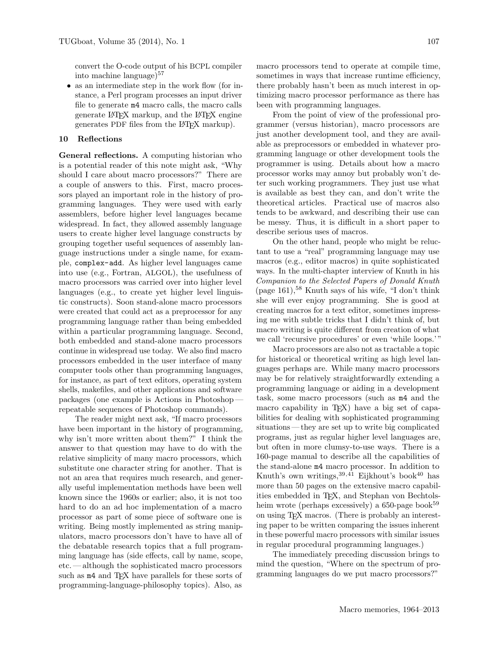convert the O-code output of his BCPL compiler into machine language $5^{57}$ 

• as an intermediate step in the work flow (for instance, a Perl program processes an input driver file to generate m4 macro calls, the macro calls generate LATEX markup, and the LATEX engine generates PDF files from the LATEX markup).

## 10 Reflections

General reflections. A computing historian who is a potential reader of this note might ask, "Why should I care about macro processors?" There are a couple of answers to this. First, macro processors played an important role in the history of programming languages. They were used with early assemblers, before higher level languages became widespread. In fact, they allowed assembly language users to create higher level language constructs by grouping together useful sequences of assembly language instructions under a single name, for example, complex-add. As higher level languages came into use (e.g., Fortran, ALGOL), the usefulness of macro processors was carried over into higher level languages (e.g., to create yet higher level linguistic constructs). Soon stand-alone macro processors were created that could act as a preprocessor for any programming language rather than being embedded within a particular programming language. Second, both embedded and stand-alone macro processors continue in widespread use today. We also find macro processors embedded in the user interface of many computer tools other than programming languages, for instance, as part of text editors, operating system shells, makefiles, and other applications and software packages (one example is Actions in Photoshop repeatable sequences of Photoshop commands).

The reader might next ask, "If macro processors have been important in the history of programming, why isn't more written about them?" I think the answer to that question may have to do with the relative simplicity of many macro processors, which substitute one character string for another. That is not an area that requires much research, and generally useful implementation methods have been well known since the 1960s or earlier; also, it is not too hard to do an ad hoc implementation of a macro processor as part of some piece of software one is writing. Being mostly implemented as string manipulators, macro processors don't have to have all of the debatable research topics that a full programming language has (side effects, call by name, scope, etc.— although the sophisticated macro processors such as  $m4$  and T<sub>F</sub>X have parallels for these sorts of programming-language-philosophy topics). Also, as

macro processors tend to operate at compile time, sometimes in ways that increase runtime efficiency, there probably hasn't been as much interest in optimizing macro processor performance as there has been with programming languages.

From the point of view of the professional programmer (versus historian), macro processors are just another development tool, and they are available as preprocessors or embedded in whatever programming language or other development tools the programmer is using. Details about how a macro processor works may annoy but probably won't deter such working programmers. They just use what is available as best they can, and don't write the theoretical articles. Practical use of macros also tends to be awkward, and describing their use can be messy. Thus, it is difficult in a short paper to describe serious uses of macros.

On the other hand, people who might be reluctant to use a "real" programming language may use macros (e.g., editor macros) in quite sophisticated ways. In the multi-chapter interview of Knuth in his Companion to the Selected Papers of Donald Knuth (page  $161$ ),<sup>58</sup> Knuth says of his wife, "I don't think she will ever enjoy programming. She is good at creating macros for a text editor, sometimes impressing me with subtle tricks that I didn't think of, but macro writing is quite different from creation of what we call 'recursive procedures' or even 'while loops.'"

Macro processors are also not as tractable a topic for historical or theoretical writing as high level languages perhaps are. While many macro processors may be for relatively straightforwardly extending a programming language or aiding in a development task, some macro processors (such as m4 and the macro capability in T<sub>E</sub>X) have a big set of capabilities for dealing with sophisticated programming situations — they are set up to write big complicated programs, just as regular higher level languages are, but often in more clumsy-to-use ways. There is a 160-page manual to describe all the capabilities of the stand-alone m4 macro processor. In addition to Knuth's own writings,  $39,41$  Eijkhout's book $40$  has more than 50 pages on the extensive macro capabilities embedded in TEX, and Stephan von Bechtolsheim wrote (perhaps excessively) a  $650$ -page book<sup>59</sup> on using TEX macros. (There is probably an interesting paper to be written comparing the issues inherent in these powerful macro processors with similar issues in regular procedural programming languages.)

The immediately preceding discussion brings to mind the question, "Where on the spectrum of programming languages do we put macro processors?"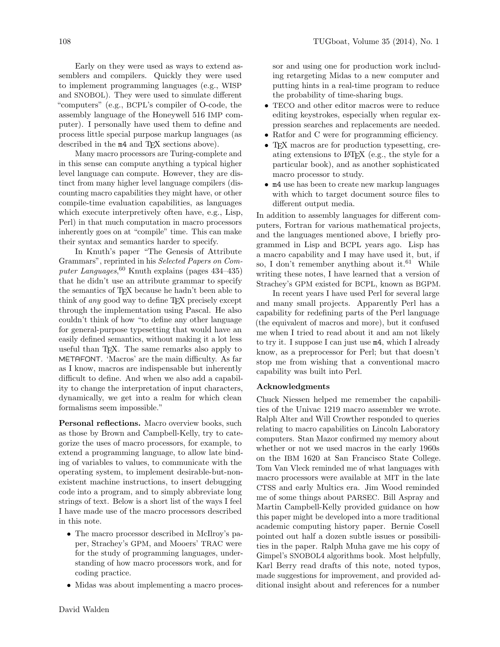Early on they were used as ways to extend assemblers and compilers. Quickly they were used to implement programming languages (e.g., WISP and SNOBOL). They were used to simulate different "computers" (e.g., BCPL's compiler of O-code, the assembly language of the Honeywell 516 IMP computer). I personally have used them to define and process little special purpose markup languages (as described in the  $m4$  and T<sub>EX</sub> sections above).

Many macro processors are Turing-complete and in this sense can compute anything a typical higher level language can compute. However, they are distinct from many higher level language compilers (discounting macro capabilities they might have, or other compile-time evaluation capabilities, as languages which execute interpretively often have, e.g., Lisp, Perl) in that much computation in macro processors inherently goes on at "compile" time. This can make their syntax and semantics harder to specify.

In Knuth's paper "The Genesis of Attribute Grammars", reprinted in his Selected Papers on Computer Languages, <sup>60</sup> Knuth explains (pages 434–435) that he didn't use an attribute grammar to specify the semantics of TEX because he hadn't been able to think of any good way to define TEX precisely except through the implementation using Pascal. He also couldn't think of how "to define any other language for general-purpose typesetting that would have an easily defined semantics, without making it a lot less useful than TEX. The same remarks also apply to METAFONT. 'Macros' are the main difficulty. As far as I know, macros are indispensable but inherently difficult to define. And when we also add a capability to change the interpretation of input characters, dynamically, we get into a realm for which clean formalisms seem impossible."

Personal reflections. Macro overview books, such as those by Brown and Campbell-Kelly, try to categorize the uses of macro processors, for example, to extend a programming language, to allow late binding of variables to values, to communicate with the operating system, to implement desirable-but-nonexistent machine instructions, to insert debugging code into a program, and to simply abbreviate long strings of text. Below is a short list of the ways I feel I have made use of the macro processors described in this note.

- The macro processor described in McIlroy's paper, Strachey's GPM, and Mooers' TRAC were for the study of programming languages, understanding of how macro processors work, and for coding practice.
- Midas was about implementing a macro proces-

sor and using one for production work including retargeting Midas to a new computer and putting hints in a real-time program to reduce the probability of time-sharing bugs.

- TECO and other editor macros were to reduce editing keystrokes, especially when regular expression searches and replacements are needed.
- Ratfor and C were for programming efficiency.
- T<sub>F</sub>X macros are for production typesetting, creating extensions to LATEX (e.g., the style for a particular book), and as another sophisticated macro processor to study.
- m4 use has been to create new markup languages with which to target document source files to different output media.

In addition to assembly languages for different computers, Fortran for various mathematical projects, and the languages mentioned above, I briefly programmed in Lisp and BCPL years ago. Lisp has a macro capability and I may have used it, but, if so, I don't remember anything about it.<sup>61</sup> While writing these notes, I have learned that a version of Strachey's GPM existed for BCPL, known as BGPM.

In recent years I have used Perl for several large and many small projects. Apparently Perl has a capability for redefining parts of the Perl language (the equivalent of macros and more), but it confused me when I tried to read about it and am not likely to try it. I suppose I can just use m4, which I already know, as a preprocessor for Perl; but that doesn't stop me from wishing that a conventional macro capability was built into Perl.

## Acknowledgments

Chuck Niessen helped me remember the capabilities of the Univac 1219 macro assembler we wrote. Ralph Alter and Will Crowther responded to queries relating to macro capabilities on Lincoln Laboratory computers. Stan Mazor confirmed my memory about whether or not we used macros in the early 1960s on the IBM 1620 at San Francisco State College. Tom Van Vleck reminded me of what languages with macro processors were available at MIT in the late CTSS and early Multics era. Jim Wood reminded me of some things about PARSEC. Bill Aspray and Martin Campbell-Kelly provided guidance on how this paper might be developed into a more traditional academic computing history paper. Bernie Cosell pointed out half a dozen subtle issues or possibilities in the paper. Ralph Muha gave me his copy of Gimpel's SNOBOL4 algorithms book. Most helpfully, Karl Berry read drafts of this note, noted typos, made suggestions for improvement, and provided additional insight about and references for a number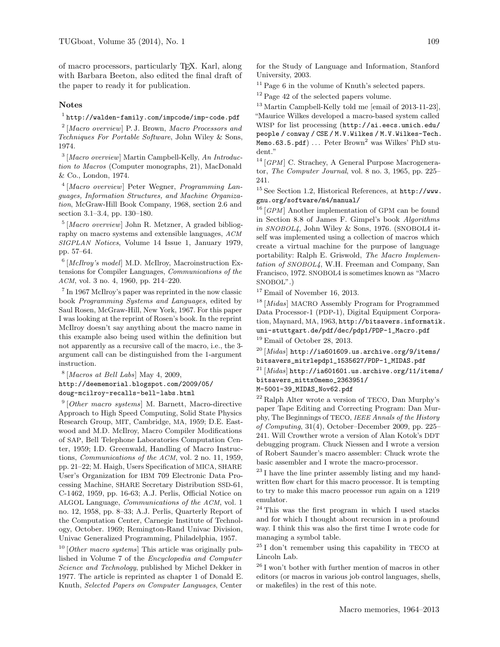of macro processors, particularly TEX. Karl, along with Barbara Beeton, also edited the final draft of the paper to ready it for publication.

#### Notes

# 1 http://walden-family.com/impcode/imp-code.pdf

<sup>2</sup> [Macro overview] P.J. Brown, Macro Processors and Techniques For Portable Software, John Wiley & Sons, 1974.

<sup>3</sup> [Macro overview] Martin Campbell-Kelly, An Introduction to Macros (Computer monographs, 21), MacDonald & Co., London, 1974.

<sup>4</sup> [Macro overview] Peter Wegner, Programming Languages, Information Structures, and Machine Organization, McGraw-Hill Book Company, 1968, section 2.6 and section 3.1–3.4, pp. 130–180.

 $<sup>5</sup>$  [*Macro overview*] John R. Metzner, A graded bibliog-</sup> raphy on macro systems and extensible languages, ACM SIGPLAN Notices, Volume 14 Issue 1, January 1979, pp. 57–64.

 $6$  [McIlroy's model] M.D. McIlroy, Macroinstruction Extensions for Compiler Languages, Communications of the ACM, vol. 3 no. 4, 1960, pp. 214–220.

7 In 1967 McIlroy's paper was reprinted in the now classic book Programming Systems and Languages, edited by Saul Rosen, McGraw-Hill, New York, 1967. For this paper I was looking at the reprint of Rosen's book. In the reprint McIlroy doesn't say anything about the macro name in this example also being used within the definition but not apparently as a recursive call of the macro, i.e., the 3 argument call can be distinguished from the 1-argument instruction.

# $^8$  [Macros at Bell Labs] May 4, 2009, http://deememorial.blogspot.com/2009/05/ doug-mcilroy-recalls-bell-labs.html

<sup>9</sup> [Other macro systems] M. Barnett, Macro-directive Approach to High Speed Computing, Solid State Physics Research Group, MIT, Cambridge, MA, 1959; D.E. Eastwood and M.D. McIlroy, Macro Compiler Modifications of SAP, Bell Telephone Laboratories Computation Center, 1959; I.D. Greenwald, Handling of Macro Instructions, Communications of the ACM, vol. 2 no. 11, 1959, pp. 21–22; M. Haigh, Users Specification of MICA, SHARE User's Organization for IBM 709 Electronic Data Processing Machine, SHARE Secretary Distribution SSD-61, C-1462, 1959, pp. 16-63; A.J. Perlis, Official Notice on ALGOL Language, Communications of the ACM, vol. 1 no. 12, 1958, pp. 8–33; A.J. Perlis, Quarterly Report of the Computation Center, Carnegie Institute of Technology, October. 1969; Remington-Rand Univac Division, Univac Generalized Programming, Philadelphia, 1957.

 $10$  [Other macro systems] This article was originally published in Volume 7 of the Encyclopedia and Computer Science and Technology, published by Michel Dekker in 1977. The article is reprinted as chapter 1 of Donald E. Knuth, Selected Papers on Computer Languages, Center for the Study of Language and Information, Stanford University, 2003.

<sup>11</sup> Page 6 in the volume of Knuth's selected papers.

 $12$  Page 42 of the selected papers volume.

<sup>13</sup> Martin Campbell-Kelly told me [email of 2013-11-23], "Maurice Wilkes developed a macro-based system called WISP for list processing (http://ai.eecs.umich.edu/ people / conway / CSE / M.V.Wilkes / M.V.Wilkes-Tech. Memo.63.5.pdf)  $\ldots$  Peter Brown<sup>2</sup> was Wilkes' PhD student."

 $14$  [GPM] C. Strachey, A General Purpose Macrogenerator, The Computer Journal, vol. 8 no. 3, 1965, pp. 225– 241.

<sup>15</sup> See Section 1.2, Historical References, at http://www. gnu.org/software/m4/manual/

 $16$  [GPM] Another implementation of GPM can be found in Section 8.8 of James F. Gimpel's book Algorithms in SNOBOL4, John Wiley & Sons, 1976. (SNOBOL4 itself was implemented using a collection of macros which create a virtual machine for the purpose of language portability: Ralph E. Griswold, The Macro Implementation of SNOBOL4, W.H. Freeman and Company, San Francisco, 1972. SNOBOL4 is sometimes known as "Macro SNOBOL".)

 $17$  Email of November 16, 2013.

<sup>18</sup> [*Midas*] MACRO Assembly Program for Programmed Data Processor-1 (PDP-1), Digital Equipment Corporation, Maynard, MA, 1963, http://bitsavers.informatik. uni-stuttgart.de/pdf/dec/pdp1/PDP-1\_Macro.pdf <sup>19</sup> Email of October 28, 2013.

 $^{20}$  [*Midas*] http://ia601609.us.archive.org/9/items/ bitsavers\_mitrlepdp1\_1535627/PDP-1\_MIDAS.pdf

 $^{21}$  [ $Midas$ ] http://ia601601.us.archive.org/11/items/ bitsavers\_mittx0memo\_2363951/

M-5001-39\_MIDAS\_Nov62.pdf

<sup>22</sup> Ralph Alter wrote a version of TECO, Dan Murphy's paper Tape Editing and Correcting Program: Dan Murphy, The Beginnings of TECO, IEEE Annals of the History of Computing, 31(4), October–December 2009, pp. 225– 241. Will Crowther wrote a version of Alan Kotok's DDT debugging program. Chuck Niessen and I wrote a version of Robert Saunder's macro assembler: Chuck wrote the basic assembler and I wrote the macro-processor.

<sup>23</sup> I have the line printer assembly listing and my handwritten flow chart for this macro processor. It is tempting to try to make this macro processor run again on a 1219 emulator.

 $24$  This was the first program in which I used stacks and for which I thought about recursion in a profound way. I think this was also the first time I wrote code for managing a symbol table.

<sup>25</sup> I don't remember using this capability in TECO at Lincoln Lab.

 $^{26}\!$  I won't bother with further mention of macros in other editors (or macros in various job control languages, shells, or makefiles) in the rest of this note.